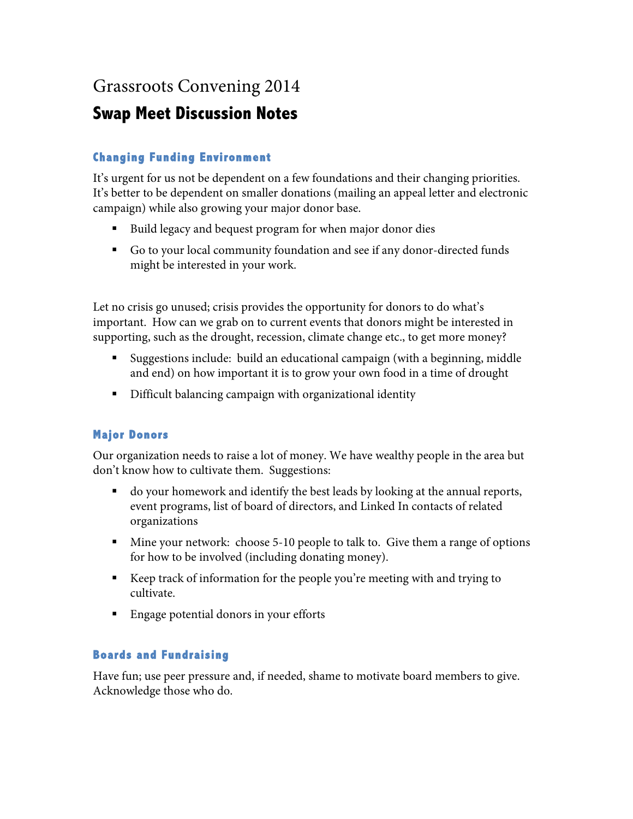# Grassroots Convening 2014

## **Swap Meet Discussion Notes**

## **Changing Funding Environment**

It's urgent for us not be dependent on a few foundations and their changing priorities. It's better to be dependent on smaller donations (mailing an appeal letter and electronic campaign) while also growing your major donor base.

- Build legacy and bequest program for when major donor dies
- § Go to your local community foundation and see if any donor-directed funds might be interested in your work.

Let no crisis go unused; crisis provides the opportunity for donors to do what's important. How can we grab on to current events that donors might be interested in supporting, such as the drought, recession, climate change etc., to get more money?

- § Suggestions include: build an educational campaign (with a beginning, middle and end) on how important it is to grow your own food in a time of drought
- Difficult balancing campaign with organizational identity

## **Major Donors**

Our organization needs to raise a lot of money. We have wealthy people in the area but don't know how to cultivate them. Suggestions:

- do your homework and identify the best leads by looking at the annual reports, event programs, list of board of directors, and Linked In contacts of related organizations
- Mine your network: choose 5-10 people to talk to. Give them a range of options for how to be involved (including donating money).
- Keep track of information for the people you're meeting with and trying to cultivate.
- Engage potential donors in your efforts

#### **Boards and Fundraising**

Have fun; use peer pressure and, if needed, shame to motivate board members to give. Acknowledge those who do.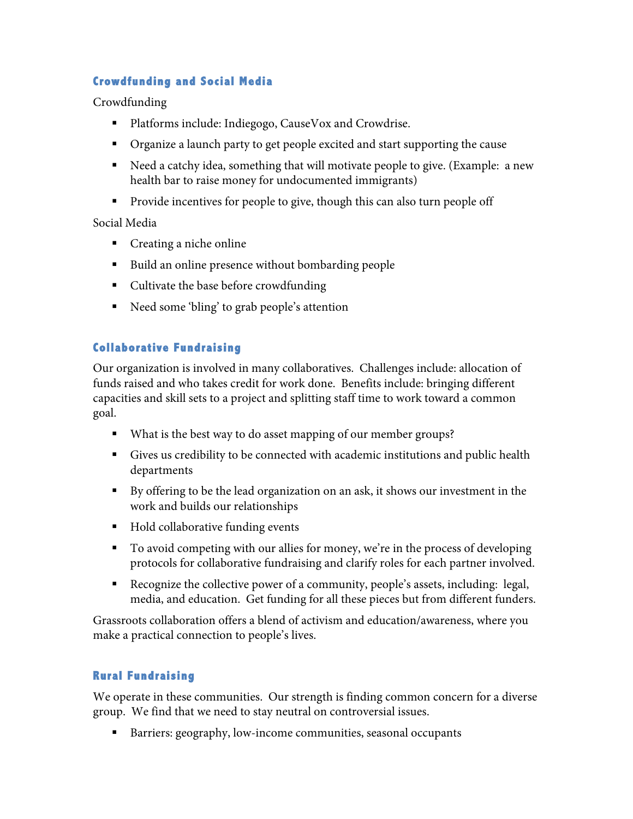### **Crowdfunding and Social Media**

Crowdfunding

- Platforms include: Indiegogo, CauseVox and Crowdrise.
- § Organize a launch party to get people excited and start supporting the cause
- § Need a catchy idea, something that will motivate people to give. (Example: a new health bar to raise money for undocumented immigrants)
- Provide incentives for people to give, though this can also turn people off

Social Media

- Creating a niche online
- Build an online presence without bombarding people
- Cultivate the base before crowdfunding
- Need some 'bling' to grab people's attention

#### **Collaborative Fundraising**

Our organization is involved in many collaboratives. Challenges include: allocation of funds raised and who takes credit for work done. Benefits include: bringing different capacities and skill sets to a project and splitting staff time to work toward a common goal.

- What is the best way to do asset mapping of our member groups?
- § Gives us credibility to be connected with academic institutions and public health departments
- § By offering to be the lead organization on an ask, it shows our investment in the work and builds our relationships
- Hold collaborative funding events
- § To avoid competing with our allies for money, we're in the process of developing protocols for collaborative fundraising and clarify roles for each partner involved.
- Recognize the collective power of a community, people's assets, including: legal, media, and education. Get funding for all these pieces but from different funders.

Grassroots collaboration offers a blend of activism and education/awareness, where you make a practical connection to people's lives.

#### **Rural Fundraising**

We operate in these communities. Our strength is finding common concern for a diverse group. We find that we need to stay neutral on controversial issues.

■ Barriers: geography, low-income communities, seasonal occupants